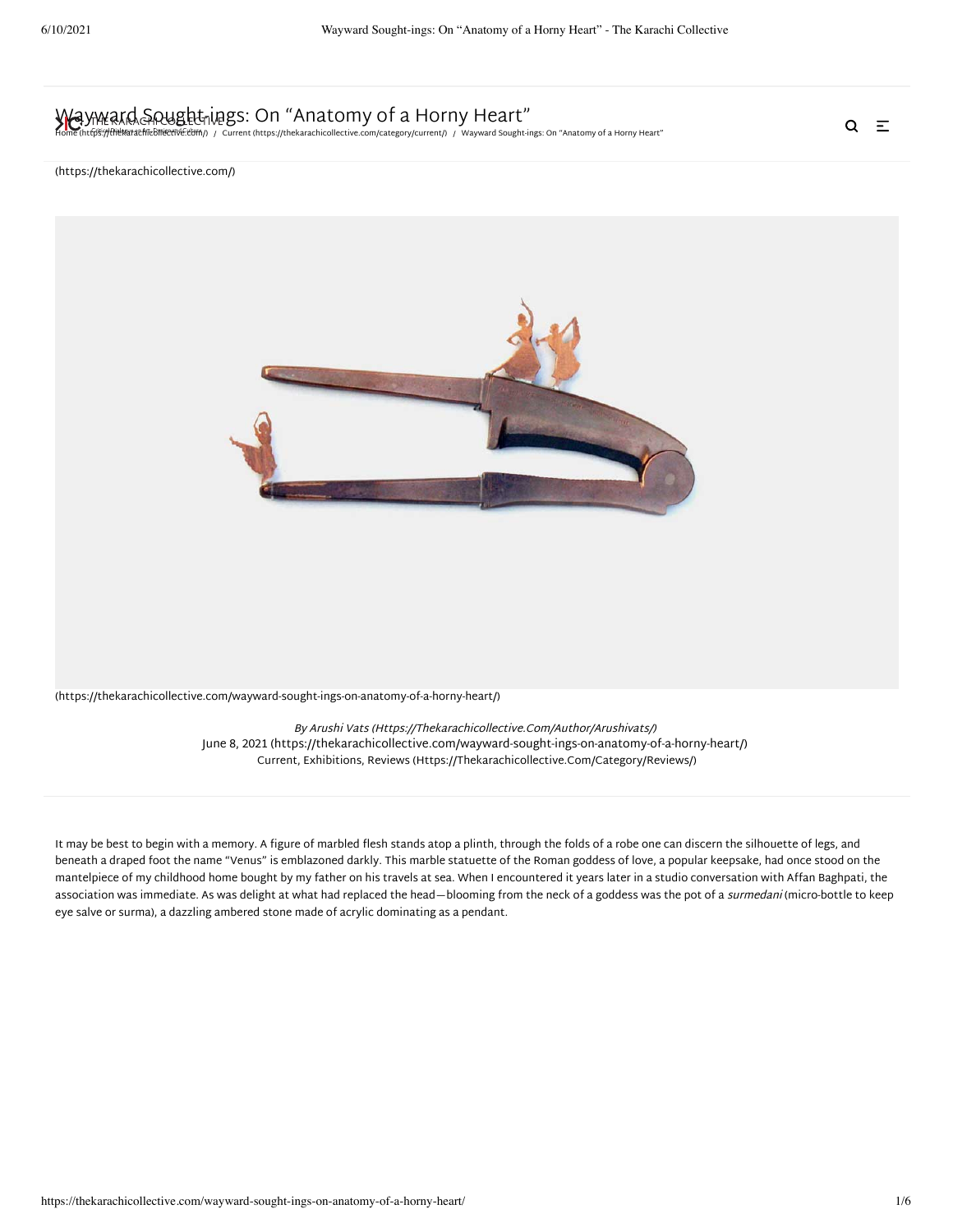# [Wayward Sought-ing](https://thekarachicollective.com/)s: On "Anatomy of a Horny Heart"

[Home \(https://thekarachicollective.com/\)](https://thekarachicollective.com/) / [Current \(https://thekarachicollective.com/category/current/\)](https://thekarachicollective.com/category/current/) / Wayward Sought-ings: On "Anatomy of a Horny Heart"

 $Q \equiv$ 

#### (https://thekarachicollective.com/)



[\(https://thekarachicollective.com/wayward-sought-ings-on-anatomy-of-a-horny-heart/\)](https://thekarachicollective.com/wayward-sought-ings-on-anatomy-of-a-horny-heart/)

By [Arushi Vats \(Https://Thekarachicollective.Com/Author/Arushivats/\)](https://thekarachicollective.com/author/arushivats/) [June 8, 2021 \(https://thekarachicollective.com/wayward-sought-ings-on-anatomy-of-a-horny-heart/\)](https://thekarachicollective.com/wayward-sought-ings-on-anatomy-of-a-horny-heart/) [Current,](https://thekarachicollective.com/category/current/) [Exhibitions,](https://thekarachicollective.com/category/reviews/exhibitions/) [Reviews \(Https://Thekarachicollective.Com/Category/Reviews/\)](https://thekarachicollective.com/category/reviews/)

It may be best to begin with a memory. A figure of marbled flesh stands atop a plinth, through the folds of a robe one can discern the silhouette of legs, and beneath a draped foot the name "Venus" is emblazoned darkly. This marble statuette of the Roman goddess of love, a popular keepsake, had once stood on the mantelpiece of my childhood home bought by my father on his travels at sea. When I encountered it years later in a studio conversation with Affan Baghpati, the association was immediate. As was delight at what had replaced the head—blooming from the neck of a goddess was the pot of a surmedani (micro-bottle to keep eye salve or surma), a dazzling ambered stone made of acrylic dominating as a pendant.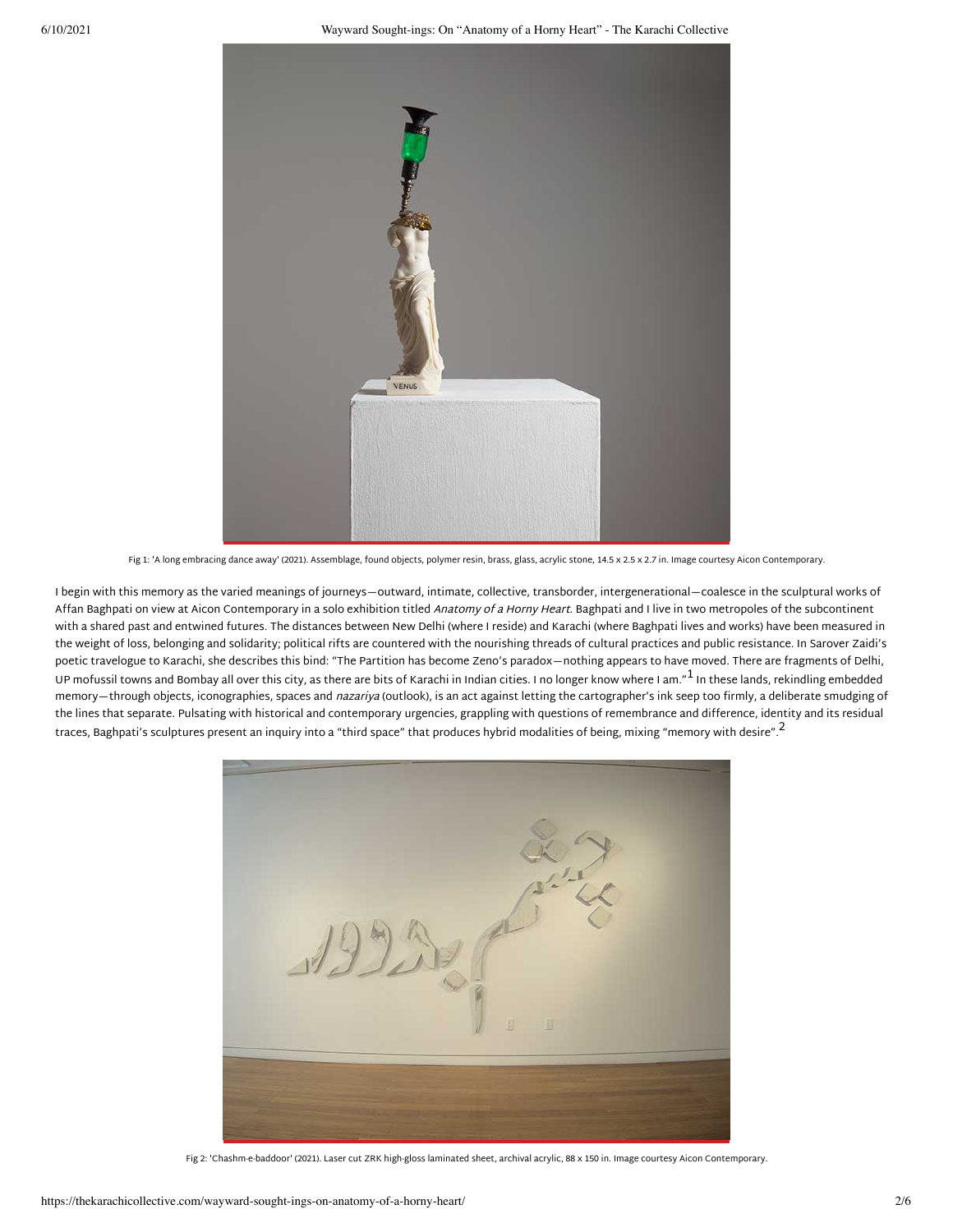

Fig 1: 'A long embracing dance away' (2021). Assemblage, found objects, polymer resin, brass, glass, acrylic stone, 14.5 x 2.5 x 2.7 in. Image courtesy Aicon Contemporary.

I begin with this memory as the varied meanings of journeys—outward, intimate, collective, transborder, intergenerational—coalesce in the sculptural works of Affan Baghpati on view at Aicon Contemporary in a solo exhibition titled Anatomy of a Horny Heart. Baghpati and I live in two metropoles of the subcontinent with a shared past and entwined futures. The distances between New Delhi (where I reside) and Karachi (where Baghpati lives and works) have been measured in the weight of loss, belonging and solidarity; political rifts are countered with the nourishing threads of cultural practices and public resistance. In Sarover Zaidi's poetic travelogue to Karachi, she describes this bind: "The Partition has become Zeno's paradox—nothing appears to have moved. There are fragments of Delhi, UP mofussil towns and Bombay all over this city, as there are bits of Karachi in Indian cities. I no longer know where I am." $^{\rm 1}$  In these lands, rekindling embedded memory—through objects, iconographies, spaces and nazariya (outlook), is an act against letting the cartographer's ink seep too firmly, a deliberate smudging of the lines that separate. Pulsating with historical and contemporary urgencies, grappling with questions of remembrance and difference, identity and its residual traces, Baghpati's sculptures present an inquiry into a "third space" that produces hybrid modalities of being, mixing "memory with desire".<sup>[2](#page-3-1)</sup>



Fig 2: 'Chashm-e-baddoor' (2021). Laser cut ZRK high-gloss laminated sheet, archival acrylic, 88 x 150 in. Image courtesy Aicon Contemporary.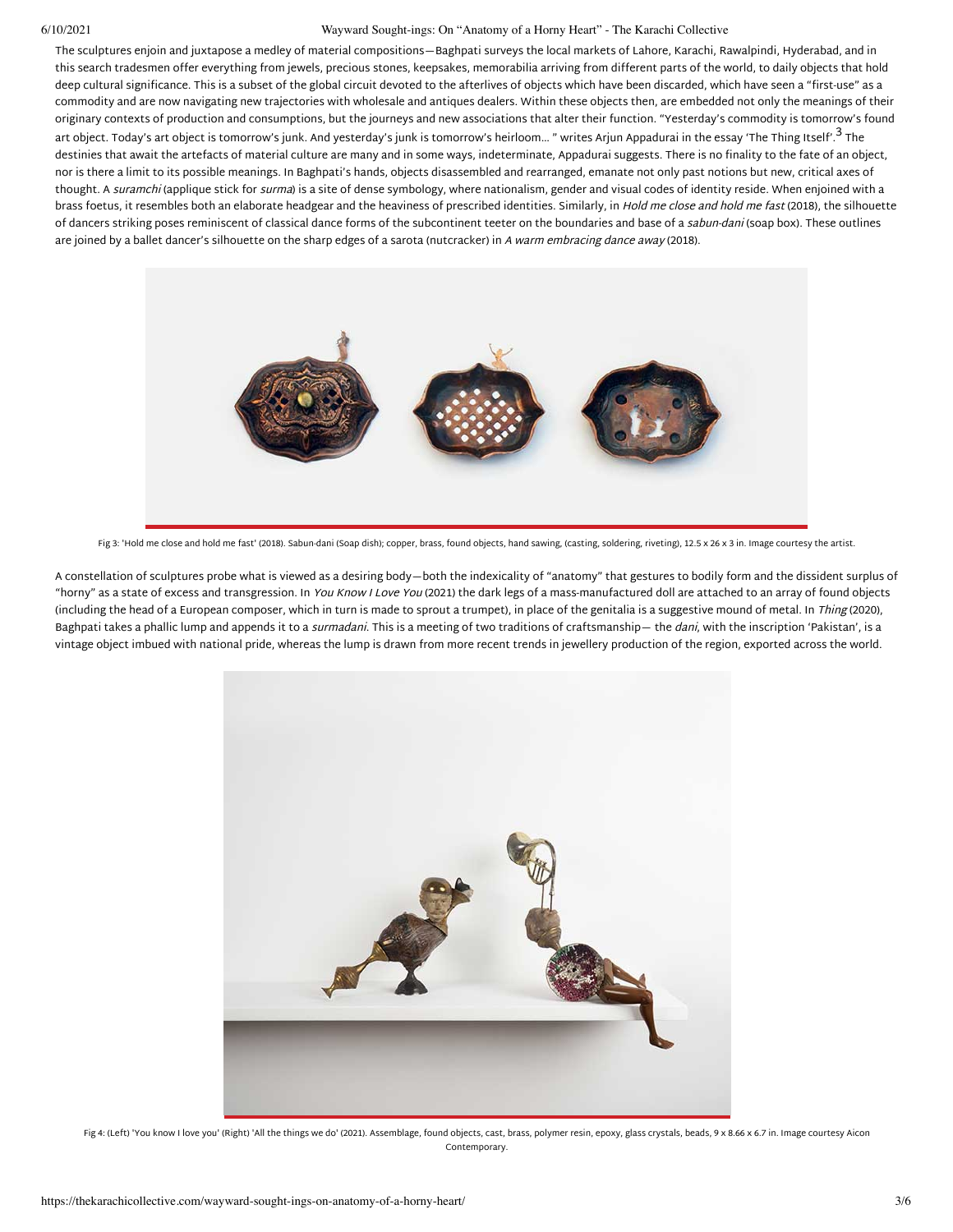#### 6/10/2021 Wayward Sought-ings: On "Anatomy of a Horny Heart" - The Karachi Collective

The sculptures enjoin and juxtapose a medley of material compositions—Baghpati surveys the local markets of Lahore, Karachi, Rawalpindi, Hyderabad, and in this search tradesmen offer everything from jewels, precious stones, keepsakes, memorabilia arriving from different parts of the world, to daily objects that hold deep cultural significance. This is a subset of the global circuit devoted to the afterlives of objects which have been discarded, which have seen a "first-use" as a commodity and are now navigating new trajectories with wholesale and antiques dealers. Within these objects then, are embedded not only the meanings of their originary contexts of production and consumptions, but the journeys and new associations that alter their function. "Yesterday's commodity is tomorrow's found art object. Today's art object is tomorrow's junk. And yesterday's junk is tomorrow's heirloom… " writes Arjun Appadurai in the essay 'The Thing Itself'.<sup>[3](#page-3-2)</sup> The destinies that await the artefacts of material culture are many and in some ways, indeterminate, Appadurai suggests. There is no finality to the fate of an object, nor is there a limit to its possible meanings. In Baghpati's hands, objects disassembled and rearranged, emanate not only past notions but new, critical axes of thought. A *suramchi* (applique stick for *surma*) is a site of dense symbology, where nationalism, gender and visual codes of identity reside. When enjoined with a brass foetus, it resembles both an elaborate headgear and the heaviness of prescribed identities. Similarly, in Hold me close and hold me fast (2018), the silhouette of dancers striking poses reminiscent of classical dance forms of the subcontinent teeter on the boundaries and base of a sabun-dani (soap box). These outlines are joined by a ballet dancer's silhouette on the sharp edges of a sarota (nutcracker) in A warm embracing dance away (2018).



Fig 3: 'Hold me close and hold me fast' (2018). Sabun-dani (Soap dish); copper, brass, found objects, hand sawing, (casting, soldering, riveting), 12.5 x 26 x 3 in. Image courtesy the artist.

A constellation of sculptures probe what is viewed as a desiring body—both the indexicality of "anatomy" that gestures to bodily form and the dissident surplus of "horny" as a state of excess and transgression. In You Know I Love You (2021) the dark legs of a mass-manufactured doll are attached to an array of found objects (including the head of a European composer, which in turn is made to sprout a trumpet), in place of the genitalia is a suggestive mound of metal. In Thing (2020), Baghpati takes a phallic lump and appends it to a surmadani. This is a meeting of two traditions of craftsmanship— the dani, with the inscription 'Pakistan', is a vintage object imbued with national pride, whereas the lump is drawn from more recent trends in jewellery production of the region, exported across the world.



Fig 4: (Left) 'You know I love you' (Right) 'All the things we do' (2021). Assemblage, found objects, cast, brass, polymer resin, epoxy, glass crystals, beads, 9 x 8.66 x 6.7 in. Image courtesy Aicon Contemporary.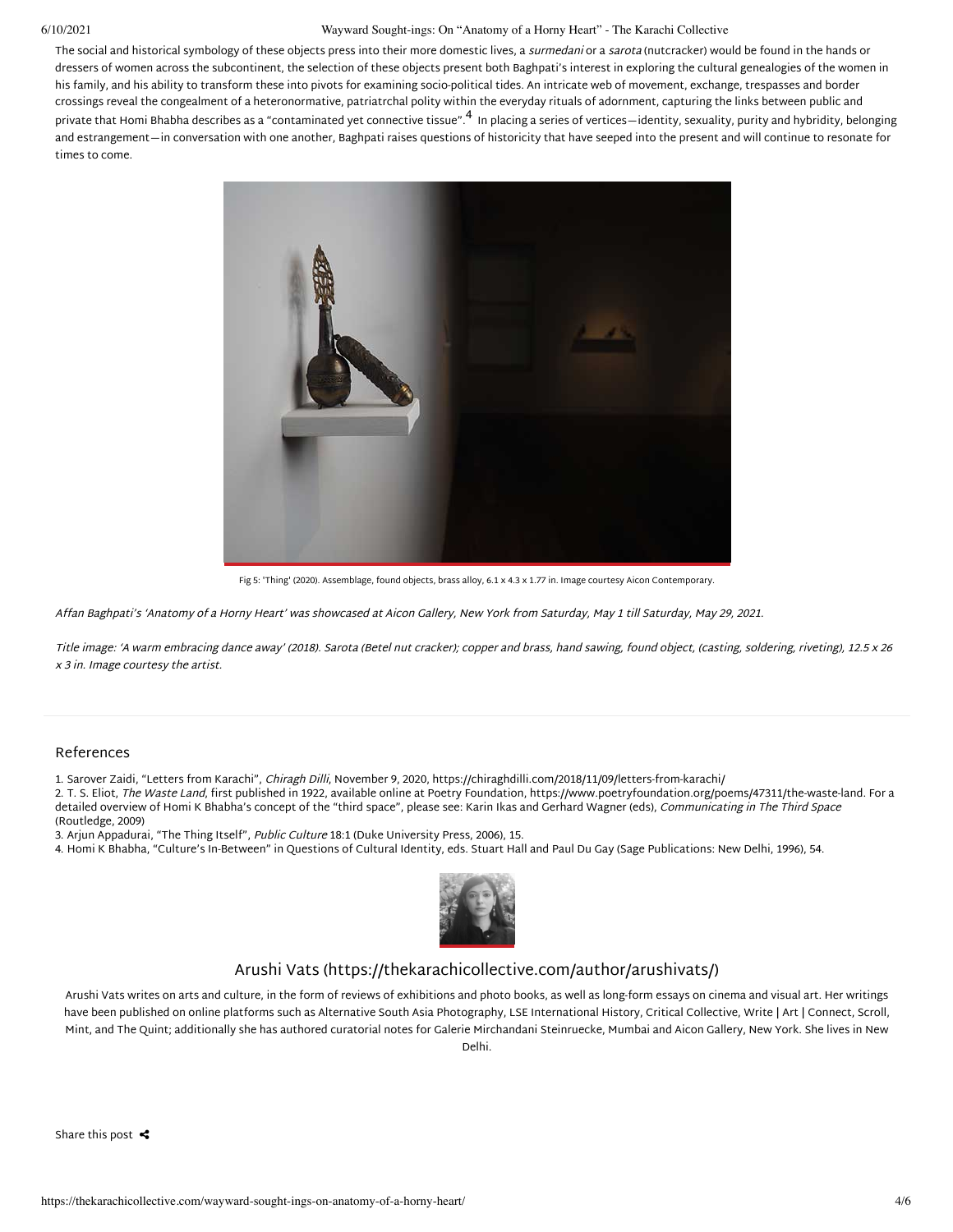#### 6/10/2021 Wayward Sought-ings: On "Anatomy of a Horny Heart" - The Karachi Collective

The social and historical symbology of these objects press into their more domestic lives, a surmedani or a sarota (nutcracker) would be found in the hands or dressers of women across the subcontinent, the selection of these objects present both Baghpati's interest in exploring the cultural genealogies of the women in his family, and his ability to transform these into pivots for examining socio-political tides. An intricate web of movement, exchange, trespasses and border crossings reveal the congealment of a heteronormative, patriatrchal polity within the everyday rituals of adornment, capturing the links between public and private that Homi Bhabha describes as a "contaminated yet connective tissue".<sup>[4](#page-3-3)</sup> In placing a series of vertices—identity, sexuality, purity and hybridity, belonging and estrangement—in conversation with one another, Baghpati raises questions of historicity that have seeped into the present and will continue to resonate for times to come.



Fig 5: 'Thing' (2020). Assemblage, found objects, brass alloy, 6.1 x 4.3 x 1.77 in. Image courtesy Aicon Contemporary.

Affan Baghpati's 'Anatomy of a Horny Heart' was showcased at Aicon Gallery, New York from Saturday, May 1 till Saturday, May 29, 2021.

Title image: 'A warm embracing dance away' (2018). Sarota (Betel nut cracker); copper and brass, hand sawing, found object, (casting, soldering, riveting), 12.5 x 26 x 3 in. Image courtesy the artist.

### References

<span id="page-3-0"></span>1. Sarover Zaidi, "Letters from Karachi", Chiragh Dilli, November 9, 2020, https://chiraghdilli.com/2018/11/09/letters-from-karachi/

<span id="page-3-1"></span>2. T. S. Eliot, The Waste Land, first published in 1922, available online at Poetry Foundation, https://www.poetryfoundation.org/poems/47311/the-waste-land. For a detailed overview of Homi K Bhabha's concept of the "third space", please see: Karin Ikas and Gerhard Wagner (eds), Communicating in The Third Space (Routledge, 2009)

<span id="page-3-2"></span>3. Arjun Appadurai, "The Thing Itself", Public Culture 18:1 (Duke University Press, 2006), 15.

<span id="page-3-3"></span>4. Homi K Bhabha, "Culture's In-Between" in Questions of Cultural Identity, eds. Stuart Hall and Paul Du Gay (Sage Publications: New Delhi, 1996), 54.



### [Arushi Vats \(https://thekarachicollective.com/author/arushivats/\)](https://thekarachicollective.com/author/arushivats/)

Arushi Vats writes on arts and culture, in the form of reviews of exhibitions and photo books, as well as long-form essays on cinema and visual art. Her writings have been published on online platforms such as Alternative South Asia Photography, LSE International History, Critical Collective, Write | Art | Connect, Scroll, Mint, and The Quint; additionally she has authored curatorial notes for Galerie Mirchandani Steinruecke, Mumbai and Aicon Gallery, New York. She lives in New Delhi.

Share this post  $\triangleleft$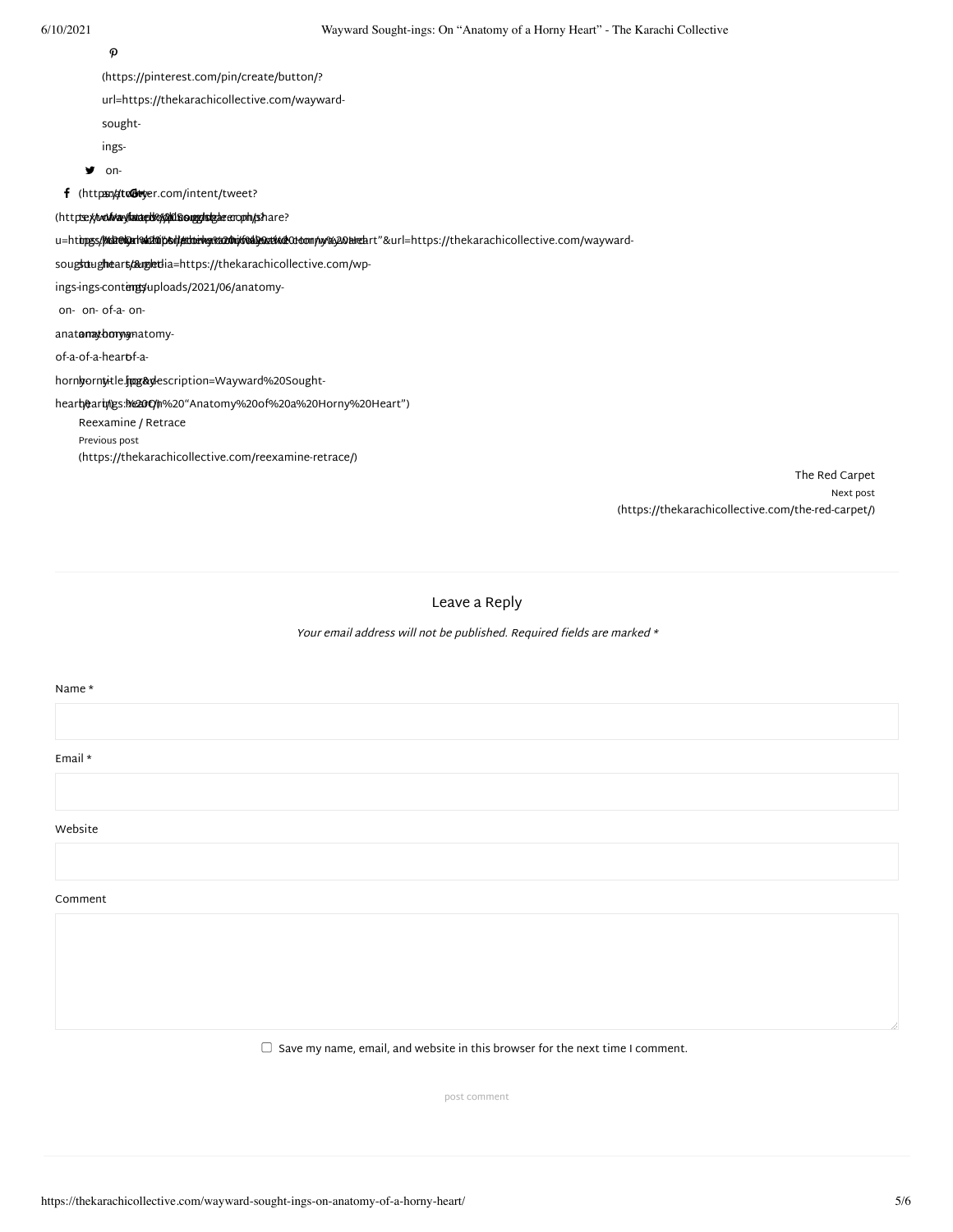$\Omega$ 

(https://pinterest.com/pin/create/button/?

url=https://thekarachicollective.com/wayward-

sought-

ings-

**y** on-

 $\bm{\mathsf{f}}$  (https://dto@w.yer.com/intent/tweet?

(http<del>s://www.aryland.gos/go</del>m/sinage.com/share?

u=ht**tps://kDokareka20bof/#Ubekg:k220ho/veaywa9deka**0doom/w/%y20heartr"&url=https://thekarachicollective.com/wayward-

soug**sd**ug**heart/&uglet:**la=https://thekarachicollective.com/wp-

ings-ings-cont**engs**uploads/2021/06/anatomy-

on-on-of-a-on-

anat**anatomy-**matomy-

of-a-of-a-hear<del>o</del>f-a-

hornyorny-tle.jpgg&ylescription=Wayward%20Sought-

hear**t/0**ar**t//25:1/@20O/1**%20"Anatomy%20of%20a%20Horny%20Heart")

Reexamine / Retrace Previous post [\(https://thekarachicollective.com/reexamine-retrace/\)](https://thekarachicollective.com/reexamine-retrace/)

> The Red Carpet Next post [\(https://thekarachicollective.com/the-red-carpet/\)](https://thekarachicollective.com/the-red-carpet/)

Leave a Reply

Your email address will not be published. Required fields are marked  $*$ 

#### Name \*

Email \*

Website

Comment

 $\Box$  Save my name, email, and website in this browser for the next time I comment.

post comment